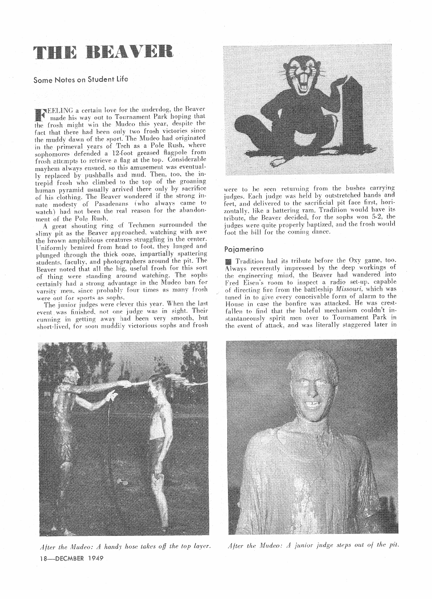# THE BRAVEH

## Some Notes on Student Life

TEELING a certain love for the underdog, the Beaver made his way out to Tournament Park hoping that the frosh might win the Mudeo this year, despite the fact that there had been only two frosh victories since the muddy dawn of the sport. The Mudeo had originated in the primeval years of Tech as a Pole Rush, where sophomores defended a 12-foot greased flagpole from frosh attempts to retrieve a flag at the top. Considerable mayhem always ensued, so this amusement was eventually replaced by pushballs and mud. Then, too, the intrepid frosh who climbed to the top of the groaning human pyramid usually arrived there only by sacrifice of his clothing. The Beaver wondered if the strong innate modesty of Pasadenans (who always came to watch) had not been the real reason for the abandonment of the Pole Rush.

A great shouting ring of Techmen surrounded the slimy pit as the Beaver approached, watching with awe the brown amphibious creatures struggling in the center. Uniformly bemired from head to foot, they lunged and plunged through the thick ooze, impartially spattering students, faculty, and photographers around the pit. The Beaver noted that all the big, useful frosh for this sort of thing were standing around watching. The sophs certainly had a strong advantage in the Mudeo ban for varsity men, since probably four times as many frosh were out for sports as sophs.

The junior judges were clever this year. When the last event was finished, not one judge was in sight. Their cunning in getting away had been very smooth, but short-lived, for soon muddily victorious sophs and frosh



After the Mudeo: A handy hose takes off the top layer. 18-DECMBER 1949



were to be seen returning from the bushes carrying judges. Each judge was held by outstretched hands and feet, and delivered to the sacrificial pit face first, horizontally, like a battering ram. Tradition would have its tribute, the Beaver decided, for the sophs won 5-2, the judges were quite properly haptized, and the frosh would foot the bill for the coming dance.

#### Pajamerino

Tradition had its tribute before the Oxy game, too. Always reverently impressed by the deep workings of the engineering mind, the Beaver had wandered into Fred Eisen's room to inspect a radio set-up, capable of directing fire from the battleship Missouri, which was tuned in to give every conceivable form of alarm to the House in case the bonfire was attacked. He was crestfallen to find that the baleful mechanism couldn't instantaneously spirit men over to Tournament Park in the event of attack, and was literally staggered later in



After the Mudeo: A junior judge steps out of the pit.